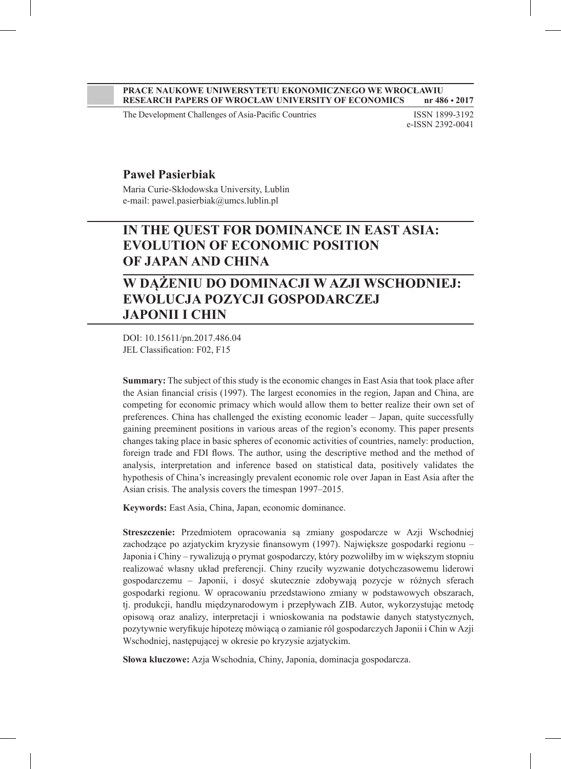#### **PRACE NAUKOWE UNIWERSYTETU EKONOMICZNEGO WE WROCŁAWIU RESEARCH PAPERS OF WROCŁAW UNIVERSITY OF ECONOMICS nr 486 ● 2017**

The Development Challenges of Asia-Pacific Countries

 ISSN 1899-3192 e-ISSN 2392-0041

### **Paweł Pasierbiak**

Maria Curie-Skłodowska University, Lublin e-mail: pawel.pasierbiak@umcs.lublin.pl

# **IN THE QUEST FOR DOMINANCE IN EAST ASIA: EVOLUTION OF ECONOMIC POSITION OF JAPAN AND CHINA**

# **W DĄŻENIU DO DOMINACJI W AZJI WSCHODNIEJ: EWOLUCJA POZYCJI GOSPODARCZEJ JAPONII I CHIN**

DOI: 10.15611/pn.2017.486.04 JEL Classification: F02, F15

**Summary:** The subject of this study is the economic changes in East Asia that took place after the Asian financial crisis (1997). The largest economies in the region, Japan and China, are competing for economic primacy which would allow them to better realize their own set of preferences. China has challenged the existing economic leader – Japan, quite successfully gaining preeminent positions in various areas of the region's economy. This paper presents changes taking place in basic spheres of economic activities of countries, namely: production, foreign trade and FDI flows. The author, using the descriptive method and the method of analysis, interpretation and inference based on statistical data, positively validates the hypothesis of China's increasingly prevalent economic role over Japan in East Asia after the Asian crisis. The analysis covers the timespan 1997–2015.

**Keywords:** East Asia, China, Japan, economic dominance.

**Streszczenie:** Przedmiotem opracowania są zmiany gospodarcze w Azji Wschodniej zachodzące po azjatyckim kryzysie finansowym (1997). Największe gospodarki regionu – Japonia i Chiny – rywalizują o prymat gospodarczy, który pozwoliłby im w większym stopniu realizować własny układ preferencji. Chiny rzuciły wyzwanie dotychczasowemu liderowi gospodarczemu – Japonii, i dosyć skutecznie zdobywają pozycje w różnych sferach gospodarki regionu. W opracowaniu przedstawiono zmiany w podstawowych obszarach, tj. produkcji, handlu międzynarodowym i przepływach ZIB. Autor, wykorzystując metodę opisową oraz analizy, interpretacji i wnioskowania na podstawie danych statystycznych, pozytywnie weryfikuje hipotezę mówiącą o zamianie ról gospodarczych Japonii i Chin w Azji Wschodniej, następującej w okresie po kryzysie azjatyckim.

**Słowa kluczowe:** Azja Wschodnia, Chiny, Japonia, dominacja gospodarcza.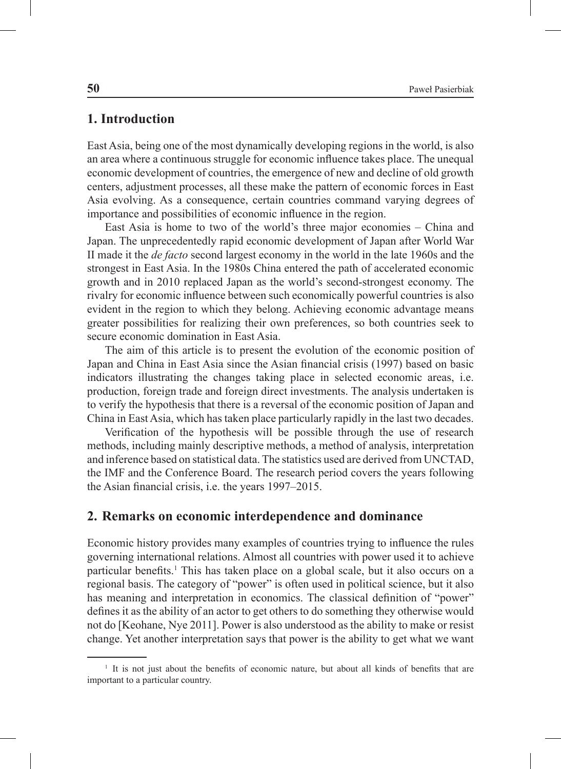### **1. Introduction**

East Asia, being one of the most dynamically developing regions in the world, is also an area where a continuous struggle for economic influence takes place. The unequal economic development of countries, the emergence of new and decline of old growth centers, adjustment processes, all these make the pattern of economic forces in East Asia evolving. As a consequence, certain countries command varying degrees of importance and possibilities of economic influence in the region.

East Asia is home to two of the world's three major economies – China and Japan. The unprecedentedly rapid economic development of Japan after World War II made it the *de facto* second largest economy in the world in the late 1960s and the strongest in East Asia. In the 1980s China entered the path of accelerated economic growth and in 2010 replaced Japan as the world's second-strongest economy. The rivalry for economic influence between such economically powerful countries is also evident in the region to which they belong. Achieving economic advantage means greater possibilities for realizing their own preferences, so both countries seek to secure economic domination in East Asia.

The aim of this article is to present the evolution of the economic position of Japan and China in East Asia since the Asian financial crisis (1997) based on basic indicators illustrating the changes taking place in selected economic areas, i.e. production, foreign trade and foreign direct investments. The analysis undertaken is to verify the hypothesis that there is a reversal of the economic position of Japan and China in East Asia, which has taken place particularly rapidly in the last two decades.

Verification of the hypothesis will be possible through the use of research methods, including mainly descriptive methods, a method of analysis, interpretation and inference based on statistical data. The statistics used are derived from UNCTAD, the IMF and the Conference Board. The research period covers the years following the Asian financial crisis, i.e. the years 1997–2015.

### **2. Remarks on economic interdependence and dominance**

Economic history provides many examples of countries trying to influence the rules governing international relations. Almost all countries with power used it to achieve particular benefits.<sup>1</sup> This has taken place on a global scale, but it also occurs on a regional basis. The category of "power" is often used in political science, but it also has meaning and interpretation in economics. The classical definition of "power" defines it as the ability of an actor to get others to do something they otherwise would not do [Keohane, Nye 2011]. Power is also understood as the ability to make or resist change. Yet another interpretation says that power is the ability to get what we want

<sup>&</sup>lt;sup>1</sup> It is not just about the benefits of economic nature, but about all kinds of benefits that are important to a particular country.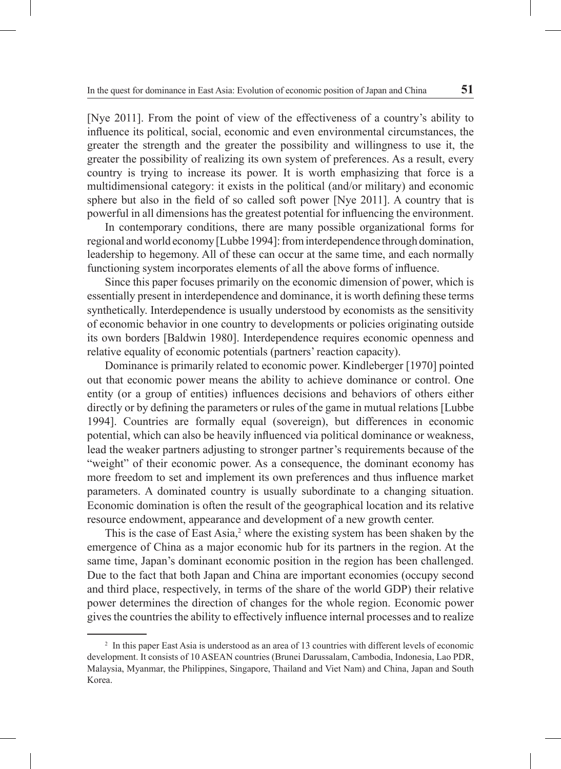[Nye 2011]. From the point of view of the effectiveness of a country's ability to influence its political, social, economic and even environmental circumstances, the greater the strength and the greater the possibility and willingness to use it, the greater the possibility of realizing its own system of preferences. As a result, every country is trying to increase its power. It is worth emphasizing that force is a multidimensional category: it exists in the political (and/or military) and economic sphere but also in the field of so called soft power [Nye 2011]. A country that is powerful in all dimensions has the greatest potential for influencing the environment.

In contemporary conditions, there are many possible organizational forms for regional and world economy [Lubbe 1994]: from interdependence through domination, leadership to hegemony. All of these can occur at the same time, and each normally functioning system incorporates elements of all the above forms of influence.

Since this paper focuses primarily on the economic dimension of power, which is essentially present in interdependence and dominance, it is worth defining these terms synthetically. Interdependence is usually understood by economists as the sensitivity of economic behavior in one country to developments or policies originating outside its own borders [Baldwin 1980]. Interdependence requires economic openness and relative equality of economic potentials (partners' reaction capacity).

Dominance is primarily related to economic power. Kindleberger [1970] pointed out that economic power means the ability to achieve dominance or control. One entity (or a group of entities) influences decisions and behaviors of others either directly or by defining the parameters or rules of the game in mutual relations [Lubbe 1994]. Countries are formally equal (sovereign), but differences in economic potential, which can also be heavily influenced via political dominance or weakness, lead the weaker partners adjusting to stronger partner's requirements because of the "weight" of their economic power. As a consequence, the dominant economy has more freedom to set and implement its own preferences and thus influence market parameters. A dominated country is usually subordinate to a changing situation. Economic domination is often the result of the geographical location and its relative resource endowment, appearance and development of a new growth center.

This is the case of East Asia, $2$  where the existing system has been shaken by the emergence of China as a major economic hub for its partners in the region. At the same time, Japan's dominant economic position in the region has been challenged. Due to the fact that both Japan and China are important economies (occupy second and third place, respectively, in terms of the share of the world GDP) their relative power determines the direction of changes for the whole region. Economic power gives the countries the ability to effectively influence internal processes and to realize

<sup>2</sup> In this paper East Asia is understood as an area of 13 countries with different levels of economic development. It consists of 10 ASEAN countries (Brunei Darussalam, Cambodia, Indonesia, Lao PDR, Malaysia, Myanmar, the Philippines, Singapore, Thailand and Viet Nam) and China, Japan and South Korea.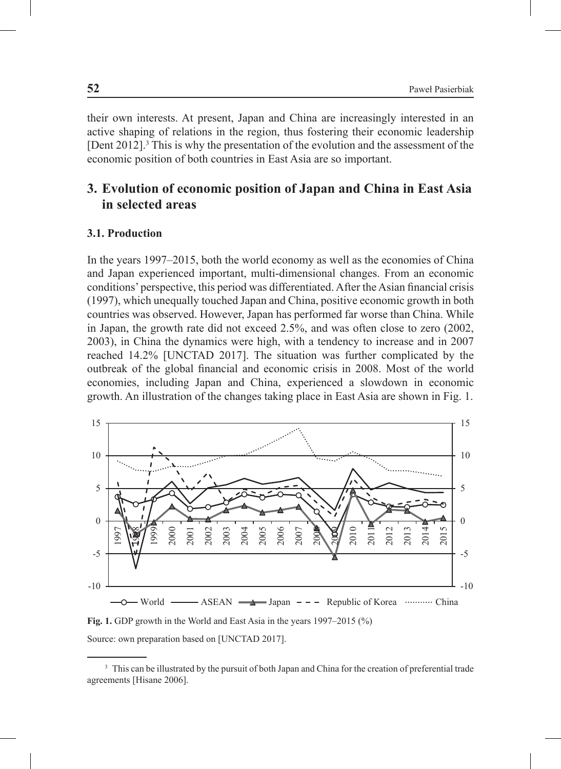their own interests. At present, Japan and China are increasingly interested in an active shaping of relations in the region, thus fostering their economic leadership [Dent 2012].3 This is why the presentation of the evolution and the assessment of the economic position of both countries in East Asia are so important.

## **3. Evolution of economic position of Japan and China in East Asia in selected areas**

### **3.1. Production**

In the years 1997–2015, both the world economy as well as the economies of China and Japan experienced important, multi-dimensional changes. From an economic conditions' perspective, this period was differentiated. After the Asian financial crisis (1997), which unequally touched Japan and China, positive economic growth in both countries was observed. However, Japan has performed far worse than China. While in Japan, the growth rate did not exceed 2.5%, and was often close to zero (2002, 2003), in China the dynamics were high, with a tendency to increase and in 2007 reached 14.2% [UNCTAD 2017]. The situation was further complicated by the outbreak of the global financial and economic crisis in 2008. Most of the world economies, including Japan and China, experienced a slowdown in economic growth. An illustration of the changes taking place in East Asia are shown in Fig. 1.



**Fig. 1.** GDP growth in the World and East Asia in the years 1997–2015 (%) Source: own preparation based on [UNCTAD 2017].

<sup>&</sup>lt;sup>3</sup> This can be illustrated by the pursuit of both Japan and China for the creation of preferential trade agreements [Hisane 2006].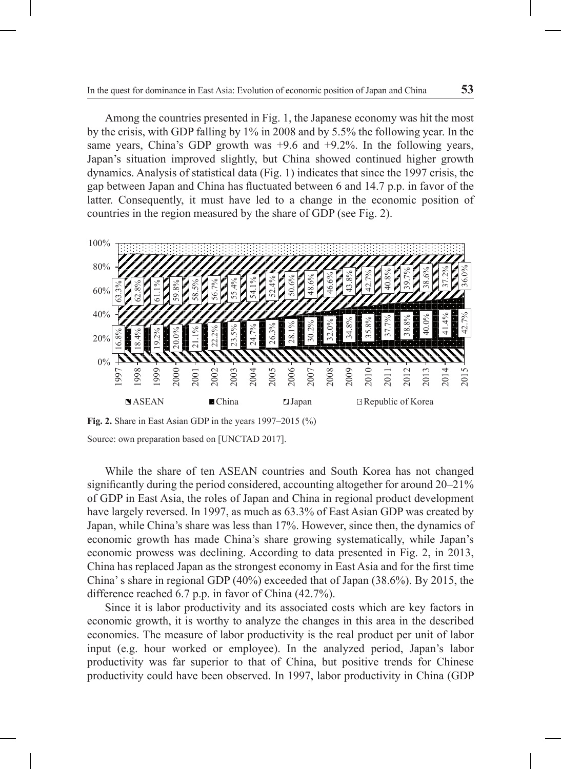Among the countries presented in Fig. 1, the Japanese economy was hit the most by the crisis, with GDP falling by 1% in 2008 and by 5.5% the following year. In the same years, China's GDP growth was +9.6 and +9.2%. In the following years, Japan's situation improved slightly, but China showed continued higher growth dynamics. Analysis of statistical data (Fig. 1) indicates that since the 1997 crisis, the gap between Japan and China has fluctuated between 6 and 14.7 p.p. in favor of the latter. Consequently, it must have led to a change in the economic position of countries in the region measured by the share of GDP (see Fig. 2).



Source: own preparation based on [UNCTAD 2017].

While the share of ten ASEAN countries and South Korea has not changed significantly during the period considered, accounting altogether for around 20–21% of GDP in East Asia, the roles of Japan and China in regional product development have largely reversed. In 1997, as much as 63.3% of East Asian GDP was created by Japan, while China's share was less than 17%. However, since then, the dynamics of economic growth has made China's share growing systematically, while Japan's economic prowess was declining. According to data presented in Fig. 2, in 2013, China has replaced Japan as the strongest economy in East Asia and for the first time China' s share in regional GDP (40%) exceeded that of Japan (38.6%). By 2015, the difference reached 6.7 p.p. in favor of China (42.7%).

Since it is labor productivity and its associated costs which are key factors in economic growth, it is worthy to analyze the changes in this area in the described economies. The measure of labor productivity is the real product per unit of labor input (e.g. hour worked or employee). In the analyzed period, Japan's labor productivity was far superior to that of China, but positive trends for Chinese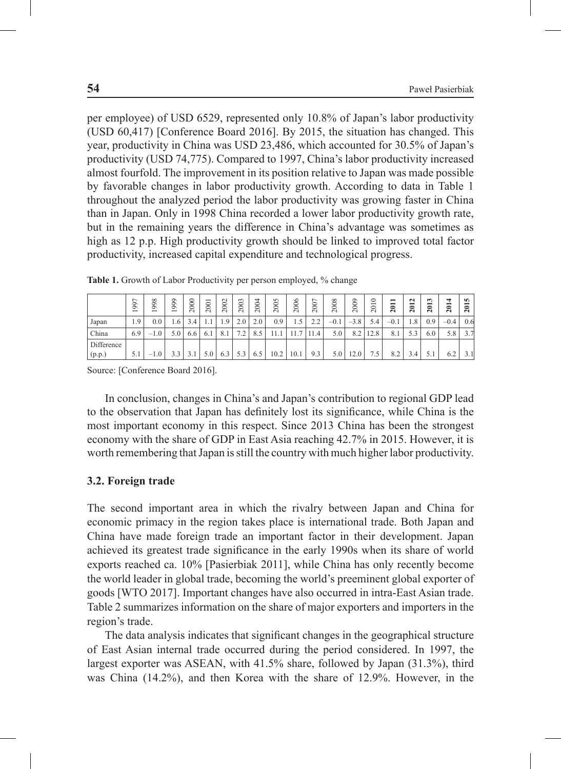per employee) of USD 6529, represented only 10.8% of Japan's labor productivity (USD 60,417) [Conference Board 2016]. By 2015, the situation has changed. This year, productivity in China was USD 23,486, which accounted for 30.5% of Japan's productivity (USD 74,775). Compared to 1997, China's labor productivity increased almost fourfold. The improvement in its position relative to Japan was made possible by favorable changes in labor productivity growth. According to data in Table 1 throughout the analyzed period the labor productivity was growing faster in China than in Japan. Only in 1998 China recorded a lower labor productivity growth rate, but in the remaining years the difference in China's advantage was sometimes as high as 12 p.p. High productivity growth should be linked to improved total factor productivity, increased capital expenditure and technological progress.

|                      | ∼<br>◦<br>⌒<br>- | $\infty$<br>ö<br>◦<br>– | ⌒<br>Ö<br>$\circ$<br>− | 8<br>$\circ$<br>$\sim$ | $\overline{\phantom{0}}$<br>0<br>$\approx$ | 8<br>$\Omega$ | $\sim$<br>⊝<br>Ò<br>$\sim$ | ↤<br>0<br>Ō<br>$\sim$ | 2005 | 2006 | ∼<br>$\odot$<br>$\sim$ | $^{\circ}$<br>$\circ$<br>Ñ | ව<br>Ò<br>$\sim$ | 0<br>$\overline{\phantom{0}}$<br>$\circ$<br>$\sim$ | −<br>-<br>0<br>$\mathbf{\bar{c}}$ | $\sim$<br>$\overline{\phantom{0}}$<br>0<br>$\mathbf{\tilde{N}}$ | ొ<br>−<br>0<br>$\mathbf{\bar{r}}$ | +<br>201 | m<br>−<br>0<br>$\mathbf{\Omega}$ |
|----------------------|------------------|-------------------------|------------------------|------------------------|--------------------------------------------|---------------|----------------------------|-----------------------|------|------|------------------------|----------------------------|------------------|----------------------------------------------------|-----------------------------------|-----------------------------------------------------------------|-----------------------------------|----------|----------------------------------|
| Japan                | 1.9              | 0.0                     |                        |                        |                                            | q             |                            | $2.0^{\degree}$       | 0.9  | ن د  | າ າ<br>. .             | $-0.$                      | $-3.8$           | 5.4                                                |                                   |                                                                 | 0.9                               | $-0.4$   | 0.6                              |
| China                | 6.9              | $\Omega$ .<br>–         |                        | 6.6                    | 6.1                                        | $8_{.1}$      | $\cdot$ .                  |                       |      |      | 11.4                   | 5.0                        | 8.2              | 12.8                                               | 8.1                               |                                                                 | 6.0                               | 5.8      | 3.7                              |
| Difference<br>(p.p.) |                  | $1.0-1$<br>–            |                        |                        |                                            | 6.3           | 5.3                        | 6.5                   | 10.2 | 10.1 | 9.3                    | 5.0                        | 12.0             | ⇁<br>7.5                                           | 8.2                               |                                                                 | 5.                                | 6.2      | 3.1                              |

**Table 1.** Growth of Labor Productivity per person employed, % change

Source: [Conference Board 2016].

In conclusion, changes in China's and Japan's contribution to regional GDP lead to the observation that Japan has definitely lost its significance, while China is the most important economy in this respect. Since 2013 China has been the strongest economy with the share of GDP in East Asia reaching 42.7% in 2015. However, it is worth remembering that Japan is still the country with much higher labor productivity.

#### **3.2. Foreign trade**

The second important area in which the rivalry between Japan and China for economic primacy in the region takes place is international trade. Both Japan and China have made foreign trade an important factor in their development. Japan achieved its greatest trade significance in the early 1990s when its share of world exports reached ca. 10% [Pasierbiak 2011], while China has only recently become the world leader in global trade, becoming the world's preeminent global exporter of goods [WTO 2017]. Important changes have also occurred in intra-East Asian trade. Table 2 summarizes information on the share of major exporters and importers in the region's trade.

The data analysis indicates that significant changes in the geographical structure of East Asian internal trade occurred during the period considered. In 1997, the largest exporter was ASEAN, with 41.5% share, followed by Japan (31.3%), third was China (14.2%), and then Korea with the share of 12.9%. However, in the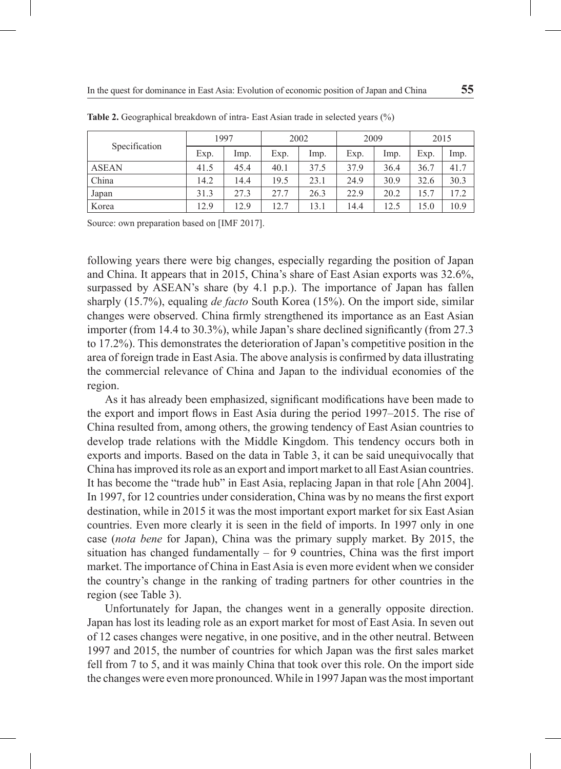|               |      | 1997 |      | 2002 | 2009 |      | 2015 |      |  |
|---------------|------|------|------|------|------|------|------|------|--|
| Specification | Exp. | lmp. | Exp. | lmp. | Exp. | Imp. | Exp. | lmp. |  |
| <b>ASEAN</b>  | 41.5 | 45.4 | 40.1 | 37.5 | 37.9 | 36.4 | 36.7 | 41.7 |  |
| China         | 14.2 | 14.4 | 19.5 | 23.1 | 24.9 | 30.9 | 32.6 | 30.3 |  |
| Japan         | 31.3 | 27.3 | 27.7 | 26.3 | 22.9 | 20.2 | 15.7 | 17.2 |  |
| Korea         | 12.9 | 12.9 | 12.7 | 13.1 | 14.4 | 12.5 | 15.0 | 10.9 |  |

**Table 2.** Geographical breakdown of intra- East Asian trade in selected years (%)

Source: own preparation based on [IMF 2017].

following years there were big changes, especially regarding the position of Japan and China. It appears that in 2015, China's share of East Asian exports was 32.6%, surpassed by ASEAN's share (by 4.1 p.p.). The importance of Japan has fallen sharply (15.7%), equaling *de facto* South Korea (15%). On the import side, similar changes were observed. China firmly strengthened its importance as an East Asian importer (from 14.4 to 30.3%), while Japan's share declined significantly (from 27.3 to 17.2%). This demonstrates the deterioration of Japan's competitive position in the area of foreign trade in East Asia. The above analysis is confirmed by data illustrating the commercial relevance of China and Japan to the individual economies of the region.

As it has already been emphasized, significant modifications have been made to the export and import flows in East Asia during the period 1997–2015. The rise of China resulted from, among others, the growing tendency of East Asian countries to develop trade relations with the Middle Kingdom. This tendency occurs both in exports and imports. Based on the data in Table 3, it can be said unequivocally that China has improved its role as an export and import market to all East Asian countries. It has become the "trade hub" in East Asia, replacing Japan in that role [Ahn 2004]. In 1997, for 12 countries under consideration, China was by no means the first export destination, while in 2015 it was the most important export market for six East Asian countries. Even more clearly it is seen in the field of imports. In 1997 only in one case (*nota bene* for Japan), China was the primary supply market. By 2015, the situation has changed fundamentally – for 9 countries, China was the first import market. The importance of China in East Asia is even more evident when we consider the country's change in the ranking of trading partners for other countries in the region (see Table 3).

Unfortunately for Japan, the changes went in a generally opposite direction. Japan has lost its leading role as an export market for most of East Asia. In seven out of 12 cases changes were negative, in one positive, and in the other neutral. Between 1997 and 2015, the number of countries for which Japan was the first sales market fell from 7 to 5, and it was mainly China that took over this role. On the import side the changes were even more pronounced. While in 1997 Japan was the most important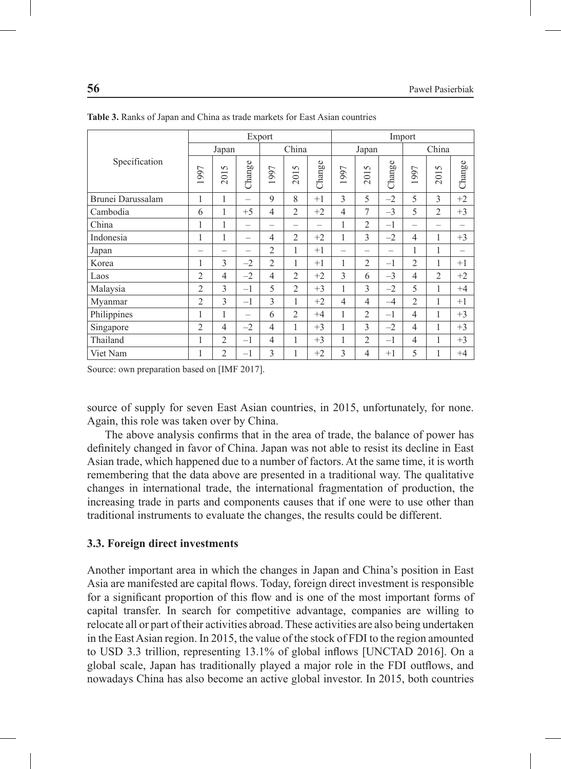|                   |                |                          |        | Export                   |                |        | Import         |                |                          |                |                |        |  |
|-------------------|----------------|--------------------------|--------|--------------------------|----------------|--------|----------------|----------------|--------------------------|----------------|----------------|--------|--|
|                   |                | Japan                    |        |                          | China          |        |                | Japan          |                          | China          |                |        |  |
| Specification     | 1997           | 5<br>201                 | Change | 1997                     | 5<br>201       | Change | 1997           | $\sim$<br>201  | Change                   | 1997           | 2015           | Change |  |
| Brunei Darussalam | 1              | $\mathbf{1}$             | -      | 9                        | 8              | $+1$   | 3              | 5              | $-2$                     | 5              | 3              | $+2$   |  |
| Cambodia          | 6              | 1                        | $+5$   | $\overline{4}$           | $\overline{2}$ | $+2$   | $\overline{4}$ | 7              | $-3$                     | 5              | $\overline{2}$ | $+3$   |  |
| China             | 1              | $\mathbf{1}$             | -      | $\overline{\phantom{0}}$ | -              |        | 1              | $\overline{2}$ | $-1$                     | -              | -              |        |  |
| Indonesia         | 1              | $\mathbf{1}$             | -      | $\overline{4}$           | $\overline{2}$ | $+2$   | 1              | 3              | $-2$                     | 4              | 1              | $+3$   |  |
| Japan             |                | $\overline{\phantom{0}}$ | -      | $\overline{2}$           | 1              | $+1$   | -              | —              | $\overline{\phantom{0}}$ | 1              | 1              |        |  |
| Korea             | 1              | 3                        | $-2$   | $\overline{2}$           | 1              | $+1$   | 1              | $\overline{2}$ | $-1$                     | $\overline{c}$ | 1              | $+1$   |  |
| Laos              | $\overline{2}$ | $\overline{4}$           | $-2$   | $\overline{4}$           | $\overline{2}$ | $+2$   | 3              | 6              | $-3$                     | $\overline{4}$ | $\overline{2}$ | $+2$   |  |
| Malaysia          | $\overline{2}$ | 3                        | $-1$   | 5                        | $\overline{2}$ | $+3$   | 1              | 3              | $-2$                     | 5              | 1              | $+4$   |  |
| Myanmar           | $\overline{2}$ | 3                        | $-1$   | $\mathcal{E}$            | 1              | $+2$   | 4              | $\overline{4}$ | $-4$                     | $\overline{c}$ | 1              | $+1$   |  |
| Philippines       | 1              | $\mathbf{1}$             | -      | 6                        | $\overline{2}$ | $+4$   | 1              | $\overline{2}$ | $-1$                     | 4              | 1              | $+3$   |  |
| Singapore         | $\overline{2}$ | 4                        | $-2$   | $\overline{4}$           | 1              | $+3$   | 1              | 3              | $-2$                     | 4              | 1              | $+3$   |  |
| Thailand          | 1              | $\overline{2}$           | $-1$   | $\overline{4}$           | 1              | $+3$   | 1              | $\overline{2}$ | $-1$                     | 4              | 1              | $+3$   |  |
| Viet Nam          | 1              | $\overline{2}$           | $-1$   | 3                        | 1              | $+2$   | 3              | 4              | $+1$                     | 5              | 1              | $+4$   |  |

**Table 3.** Ranks of Japan and China as trade markets for East Asian countries

Source: own preparation based on [IMF 2017].

source of supply for seven East Asian countries, in 2015, unfortunately, for none. Again, this role was taken over by China.

The above analysis confirms that in the area of trade, the balance of power has definitely changed in favor of China. Japan was not able to resist its decline in East Asian trade, which happened due to a number of factors. At the same time, it is worth remembering that the data above are presented in a traditional way. The qualitative changes in international trade, the international fragmentation of production, the increasing trade in parts and components causes that if one were to use other than traditional instruments to evaluate the changes, the results could be different.

### **3.3. Foreign direct investments**

Another important area in which the changes in Japan and China's position in East Asia are manifested are capital flows. Today, foreign direct investment is responsible for a significant proportion of this flow and is one of the most important forms of capital transfer. In search for competitive advantage, companies are willing to relocate all or part of their activities abroad. These activities are also being undertaken in the East Asian region. In 2015, the value of the stock of FDI to the region amounted to USD 3.3 trillion, representing 13.1% of global inflows [UNCTAD 2016]. On a global scale, Japan has traditionally played a major role in the FDI outflows, and nowadays China has also become an active global investor. In 2015, both countries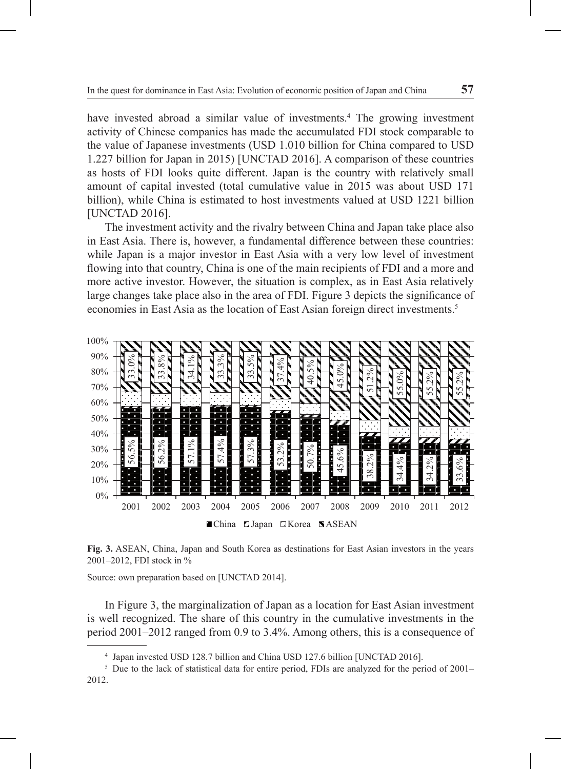have invested abroad a similar value of investments.<sup>4</sup> The growing investment activity of Chinese companies has made the accumulated FDI stock comparable to the value of Japanese investments (USD 1.010 billion for China compared to USD 1.227 billion for Japan in 2015) [UNCTAD 2016]. A comparison of these countries as hosts of FDI looks quite different. Japan is the country with relatively small amount of capital invested (total cumulative value in 2015 was about USD 171 billion), while China is estimated to host investments valued at USD 1221 billion [UNCTAD 2016].

The investment activity and the rivalry between China and Japan take place also in East Asia. There is, however, a fundamental difference between these countries: while Japan is a major investor in East Asia with a very low level of investment flowing into that country, China is one of the main recipients of FDI and a more and more active investor. However, the situation is complex, as in East Asia relatively large changes take place also in the area of FDI. Figure 3 depicts the significance of economies in East Asia as the location of East Asian foreign direct investments.<sup>5</sup>



**Fig. 3.** ASEAN, China, Japan and South Korea as destinations for East Asian investors in the years 2001–2012, FDI stock in %

Source: own preparation based on [UNCTAD 2014].

In Figure 3, the marginalization of Japan as a location for East Asian investment is well recognized. The share of this country in the cumulative investments in the period 2001–2012 ranged from 0.9 to 3.4%. Among others, this is a consequence of

<sup>4</sup> Japan invested USD 128.7 billion and China USD 127.6 billion [UNCTAD 2016].

<sup>&</sup>lt;sup>5</sup> Due to the lack of statistical data for entire period, FDIs are analyzed for the period of 2001– 2012.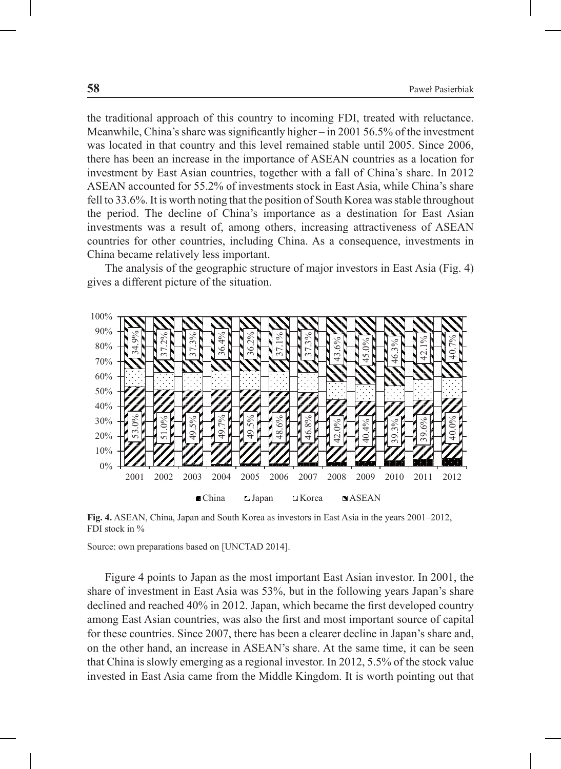the traditional approach of this country to incoming FDI, treated with reluctance. Meanwhile, China's share was significantly higher – in 2001 56.5% of the investment was located in that country and this level remained stable until 2005. Since 2006, there has been an increase in the importance of ASEAN countries as a location for investment by East Asian countries, together with a fall of China's share. In 2012 ASEAN accounted for 55.2% of investments stock in East Asia, while China's share fell to 33.6%. It is worth noting that the position of South Korea was stable throughout the period. The decline of China's importance as a destination for East Asian investments was a result of, among others, increasing attractiveness of ASEAN countries for other countries, including China. As a consequence, investments in China became relatively less important.

The analysis of the geographic structure of major investors in East Asia (Fig. 4) gives a different picture of the situation.



**Fig. 4.** ASEAN, China, Japan and South Korea as investors in East Asia in the years 2001–2012, FDI stock in %

Source: own preparations based on [UNCTAD 2014].

Figure 4 points to Japan as the most important East Asian investor. In 2001, the share of investment in East Asia was 53%, but in the following years Japan's share declined and reached 40% in 2012. Japan, which became the first developed country among East Asian countries, was also the first and most important source of capital for these countries. Since 2007, there has been a clearer decline in Japan's share and, on the other hand, an increase in ASEAN's share. At the same time, it can be seen that China is slowly emerging as a regional investor. In 2012, 5.5% of the stock value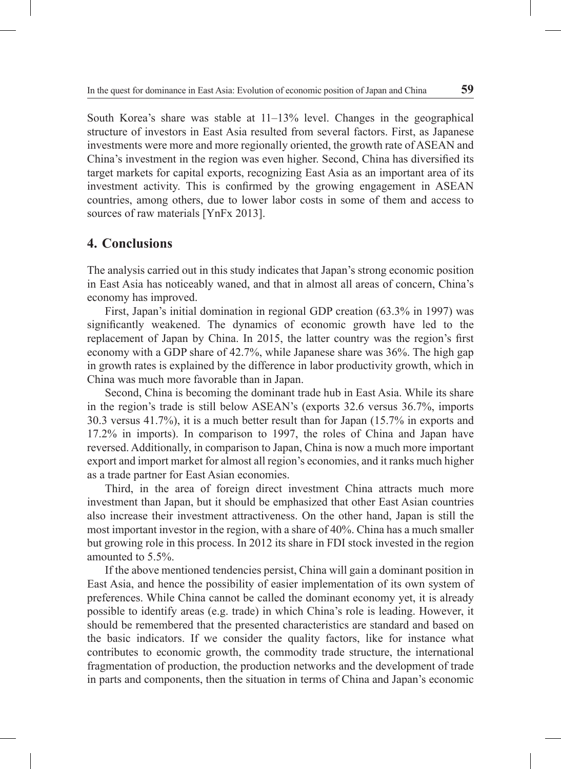South Korea's share was stable at 11–13% level. Changes in the geographical structure of investors in East Asia resulted from several factors. First, as Japanese investments were more and more regionally oriented, the growth rate of ASEAN and China's investment in the region was even higher. Second, China has diversified its target markets for capital exports, recognizing East Asia as an important area of its investment activity. This is confirmed by the growing engagement in ASEAN countries, among others, due to lower labor costs in some of them and access to sources of raw materials [YnFx 2013].

### **4. Conclusions**

The analysis carried out in this study indicates that Japan's strong economic position in East Asia has noticeably waned, and that in almost all areas of concern, China's economy has improved.

First, Japan's initial domination in regional GDP creation (63.3% in 1997) was significantly weakened. The dynamics of economic growth have led to the replacement of Japan by China. In 2015, the latter country was the region's first economy with a GDP share of 42.7%, while Japanese share was 36%. The high gap in growth rates is explained by the difference in labor productivity growth, which in China was much more favorable than in Japan.

Second, China is becoming the dominant trade hub in East Asia. While its share in the region's trade is still below ASEAN's (exports 32.6 versus 36.7%, imports 30.3 versus 41.7%), it is a much better result than for Japan (15.7% in exports and 17.2% in imports). In comparison to 1997, the roles of China and Japan have reversed. Additionally, in comparison to Japan, China is now a much more important export and import market for almost all region's economies, and it ranks much higher as a trade partner for East Asian economies.

Third, in the area of foreign direct investment China attracts much more investment than Japan, but it should be emphasized that other East Asian countries also increase their investment attractiveness. On the other hand, Japan is still the most important investor in the region, with a share of 40%. China has a much smaller but growing role in this process. In 2012 its share in FDI stock invested in the region amounted to 5.5%.

If the above mentioned tendencies persist, China will gain a dominant position in East Asia, and hence the possibility of easier implementation of its own system of preferences. While China cannot be called the dominant economy yet, it is already possible to identify areas (e.g. trade) in which China's role is leading. However, it should be remembered that the presented characteristics are standard and based on the basic indicators. If we consider the quality factors, like for instance what contributes to economic growth, the commodity trade structure, the international fragmentation of production, the production networks and the development of trade in parts and components, then the situation in terms of China and Japan's economic